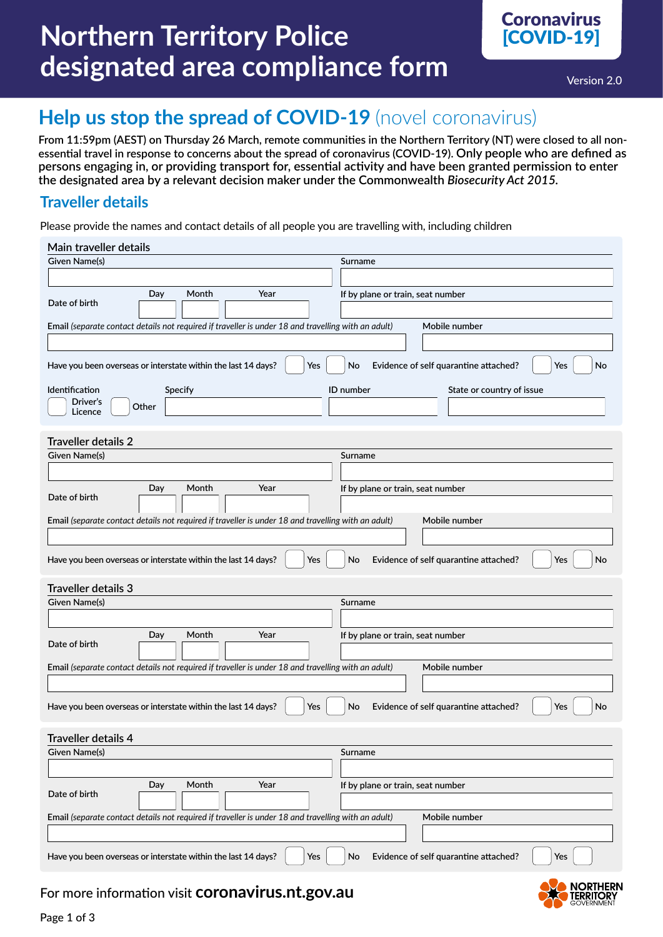# **Northern Territory Police designated area compliance form**



Version 2.0

**NORTHERN TERRITORY** 

# **Help us stop the spread of COVID-19** (novel coronavirus)

**From 11:59pm (AEST) on Thursday 26 March, remote communities in the Northern Territory (NT) were closed to all nonessential travel in response to concerns about the spread of coronavirus (COVID-19). Only people who are defined as persons engaging in, or providing transport for, essential activity and have been granted permission to enter the designated area by a relevant decision maker under the Commonwealth** *Biosecurity Act 2015.*

### **Traveller details**

Please provide the names and contact details of all people you are travelling with, including children

| Main traveller details                                                                              |                                                          |
|-----------------------------------------------------------------------------------------------------|----------------------------------------------------------|
| Given Name(s)                                                                                       | Surname                                                  |
|                                                                                                     |                                                          |
| Month<br>Year<br>Day                                                                                |                                                          |
| Date of birth                                                                                       | If by plane or train, seat number                        |
| Email (separate contact details not required if traveller is under 18 and travelling with an adult) | Mobile number                                            |
|                                                                                                     |                                                          |
|                                                                                                     |                                                          |
| Have you been overseas or interstate within the last 14 days?<br>Yes                                | No<br>Evidence of self quarantine attached?<br>No<br>Yes |
| Identification<br><b>Specify</b>                                                                    | ID number<br>State or country of issue                   |
| Driver's<br>Other                                                                                   |                                                          |
| Licence                                                                                             |                                                          |
| <b>Traveller details 2</b>                                                                          |                                                          |
| <b>Given Name(s)</b>                                                                                | Surname                                                  |
|                                                                                                     |                                                          |
|                                                                                                     |                                                          |
| Month<br>Year<br>Day<br>Date of birth                                                               | If by plane or train, seat number                        |
|                                                                                                     |                                                          |
| Email (separate contact details not required if traveller is under 18 and travelling with an adult) | Mobile number                                            |
|                                                                                                     |                                                          |
|                                                                                                     |                                                          |
| Have you been overseas or interstate within the last 14 days?<br>Yes                                | No<br>Evidence of self quarantine attached?<br>Yes<br>No |
|                                                                                                     |                                                          |
| <b>Traveller details 3</b>                                                                          |                                                          |
| <b>Given Name(s)</b>                                                                                | Surname                                                  |
|                                                                                                     |                                                          |
| Year<br>Month<br>Day                                                                                | If by plane or train, seat number                        |
| Date of birth                                                                                       |                                                          |
|                                                                                                     |                                                          |
| Email (separate contact details not required if traveller is under 18 and travelling with an adult) | Mobile number                                            |
|                                                                                                     |                                                          |
| Have you been overseas or interstate within the last 14 days?<br>Yes                                | Evidence of self quarantine attached?<br>No<br>No<br>Yes |
|                                                                                                     |                                                          |
|                                                                                                     |                                                          |
| Traveller details 4                                                                                 |                                                          |
| Given Name(s)                                                                                       | Surname                                                  |
|                                                                                                     |                                                          |
| Month<br>Year<br>Day                                                                                | If by plane or train, seat number                        |
| Date of birth                                                                                       |                                                          |
| Email (separate contact details not required if traveller is under 18 and travelling with an adult) | Mobile number                                            |
|                                                                                                     |                                                          |
|                                                                                                     |                                                          |
| Have you been overseas or interstate within the last 14 days?<br>Yes                                | No<br>Evidence of self quarantine attached?<br>Yes       |

#### For more information visit **coronavirus.nt.gov.au**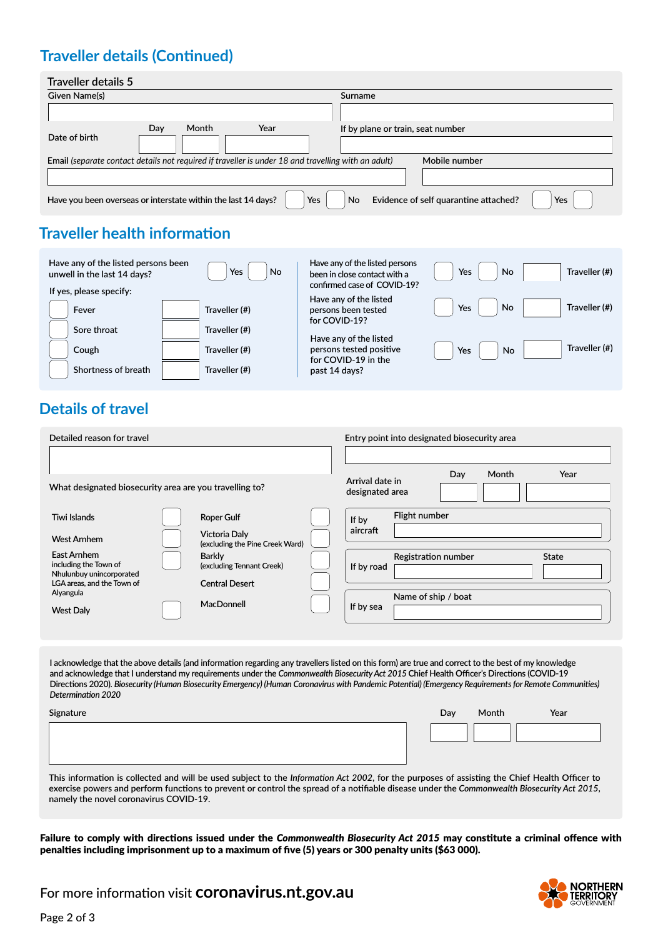## **Traveller details (Continued)**

| Traveller details 5                                                                                 |     |       |      |     |                                   |                                       |     |
|-----------------------------------------------------------------------------------------------------|-----|-------|------|-----|-----------------------------------|---------------------------------------|-----|
| Given Name(s)                                                                                       |     |       |      |     | Surname                           |                                       |     |
|                                                                                                     |     |       |      |     |                                   |                                       |     |
|                                                                                                     | Day | Month | Year |     | If by plane or train, seat number |                                       |     |
| Date of birth                                                                                       |     |       |      |     |                                   |                                       |     |
| Email (separate contact details not required if traveller is under 18 and travelling with an adult) |     |       |      |     |                                   | Mobile number                         |     |
|                                                                                                     |     |       |      |     |                                   |                                       |     |
| Have you been overseas or interstate within the last 14 days?                                       |     |       |      | Yes | <b>No</b>                         | Evidence of self quarantine attached? | Yes |

## **Traveller health information**

| Have any of the listed persons been<br>unwell in the last 14 days?<br>If yes, please specify: | <b>No</b><br>Yes               | Have any of the listed persons<br>been in close contact with a<br>confirmed case of COVID-19? | <b>No</b><br>Traveller (#)<br>Yes |
|-----------------------------------------------------------------------------------------------|--------------------------------|-----------------------------------------------------------------------------------------------|-----------------------------------|
| Fever                                                                                         | Traveller (#)                  | Have any of the listed<br>persons been tested<br>for COVID-19?                                | <b>No</b><br>Traveller (#)<br>Yes |
| Sore throat<br>Cough                                                                          | Traveller (#)<br>Traveller (#) | Have any of the listed<br>persons tested positive                                             | Traveller (#)<br><b>No</b><br>Yes |
| Shortness of breath                                                                           | Traveller (#)                  | for COVID-19 in the<br>past 14 days?                                                          |                                   |

## **Details of travel**

| Detailed reason for travel                                       |  |                                                  | Entry point into designated biosecurity area |                            |     |       |       |
|------------------------------------------------------------------|--|--------------------------------------------------|----------------------------------------------|----------------------------|-----|-------|-------|
|                                                                  |  |                                                  |                                              |                            |     |       |       |
| What designated biosecurity area are you travelling to?          |  |                                                  | Arrival date in<br>designated area           |                            | Day | Month | Year  |
| Tiwi Islands                                                     |  | <b>Roper Gulf</b>                                | If by                                        | Flight number              |     |       |       |
| <b>West Arnhem</b>                                               |  | Victoria Daly<br>(excluding the Pine Creek Ward) | aircraft                                     |                            |     |       |       |
| East Arnhem<br>including the Town of<br>Nhulunbuy unincorporated |  | <b>Barkly</b><br>(excluding Tennant Creek)       | If by road                                   | <b>Registration number</b> |     |       | State |
| LGA areas, and the Town of<br>Alyangula                          |  | <b>Central Desert</b>                            |                                              |                            |     |       |       |
| <b>West Daly</b>                                                 |  | MacDonnell                                       | If by sea                                    | Name of ship / boat        |     |       |       |

**I acknowledge that the above details (and information regarding any travellers listed on this form) are true and correct to the best of my knowledge and acknowledge that I understand my requirements under the** *Commonwealth Biosecurity Act 2015* **Chief Health Officer's Directions (COVID-19 Directions 2020).** *Biosecurity (Human Biosecurity Emergency) (Human Coronavirus with Pandemic Potential) (Emergency Requirements for Remote Communities) Determination 2020*

| Signature | Day | Month | Year |
|-----------|-----|-------|------|
|           |     |       |      |

**This information is collected and will be used subject to the** *Information Act 2002***, for the purposes of assisting the Chief Health Officer to exercise powers and perform functions to prevent or control the spread of a notifiable disease under the** *Commonwealth Biosecurity Act 2015***, namely the novel coronavirus COVID-19.**

Failure to comply with directions issued under the *Commonwealth Biosecurity Act 2015* may constitute a criminal offence with penalties including imprisonment up to a maximum of five (5) years or 300 penalty units (\$63 000).

### For more information visit **coronavirus.nt.gov.au**